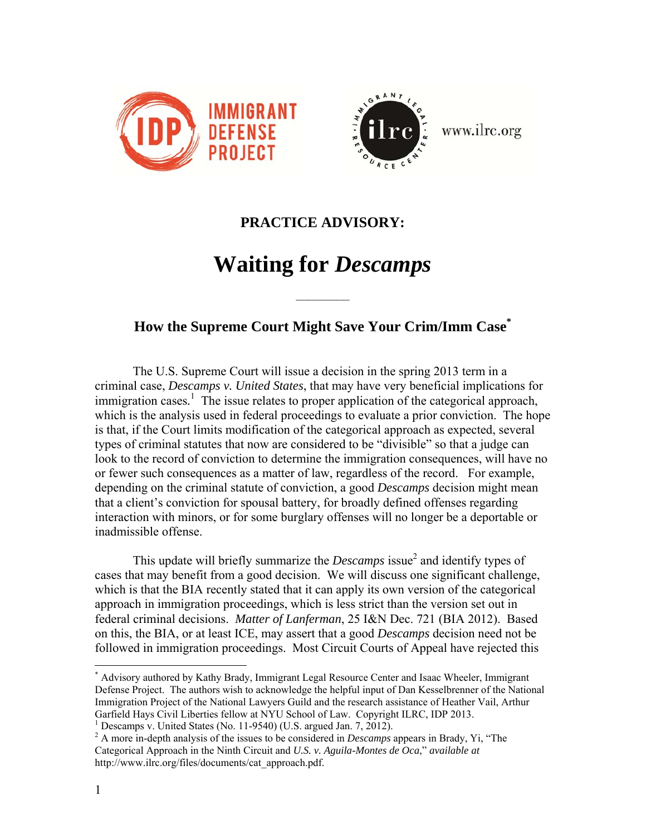



www.ilrc.org

## **PRACTICE ADVISORY:**

## **Waiting for** *Descamps*

**\_\_\_\_\_\_\_\_\_\_\_\_\_\_\_\_\_** 

## **How the Supreme Court Might Save Your Crim/Imm Case\***

The U.S. Supreme Court will issue a decision in the spring 2013 term in a criminal case, *Descamps v. United States*, that may have very beneficial implications for immigration cases.<sup>1</sup> The issue relates to proper application of the categorical approach, which is the analysis used in federal proceedings to evaluate a prior conviction. The hope is that, if the Court limits modification of the categorical approach as expected, several types of criminal statutes that now are considered to be "divisible" so that a judge can look to the record of conviction to determine the immigration consequences, will have no or fewer such consequences as a matter of law, regardless of the record. For example, depending on the criminal statute of conviction, a good *Descamps* decision might mean that a client's conviction for spousal battery, for broadly defined offenses regarding interaction with minors, or for some burglary offenses will no longer be a deportable or inadmissible offense.

This update will briefly summarize the *Descamps* issue<sup>2</sup> and identify types of cases that may benefit from a good decision. We will discuss one significant challenge, which is that the BIA recently stated that it can apply its own version of the categorical approach in immigration proceedings, which is less strict than the version set out in federal criminal decisions. *Matter of Lanferman*, 25 I&N Dec. 721 (BIA 2012). Based on this, the BIA, or at least ICE, may assert that a good *Descamps* decision need not be followed in immigration proceedings. Most Circuit Courts of Appeal have rejected this

 $\overline{a}$ \* Advisory authored by Kathy Brady, Immigrant Legal Resource Center and Isaac Wheeler, Immigrant Defense Project. The authors wish to acknowledge the helpful input of Dan Kesselbrenner of the National Immigration Project of the National Lawyers Guild and the research assistance of Heather Vail, Arthur Garfield Hays Civil Liberties fellow at NYU School of Law. Copyright ILRC, IDP 2013.

<sup>&</sup>lt;sup>1</sup> Descamps v. United States (No. 11-9540) (U.S. argued Jan. 7, 2012).

<sup>2</sup> A more in-depth analysis of the issues to be considered in *Descamps* appears in Brady, Yi, "The Categorical Approach in the Ninth Circuit and *U.S. v. Aguila-Montes de Oca*," *available at*  http://www.ilrc.org/files/documents/cat\_approach.pdf.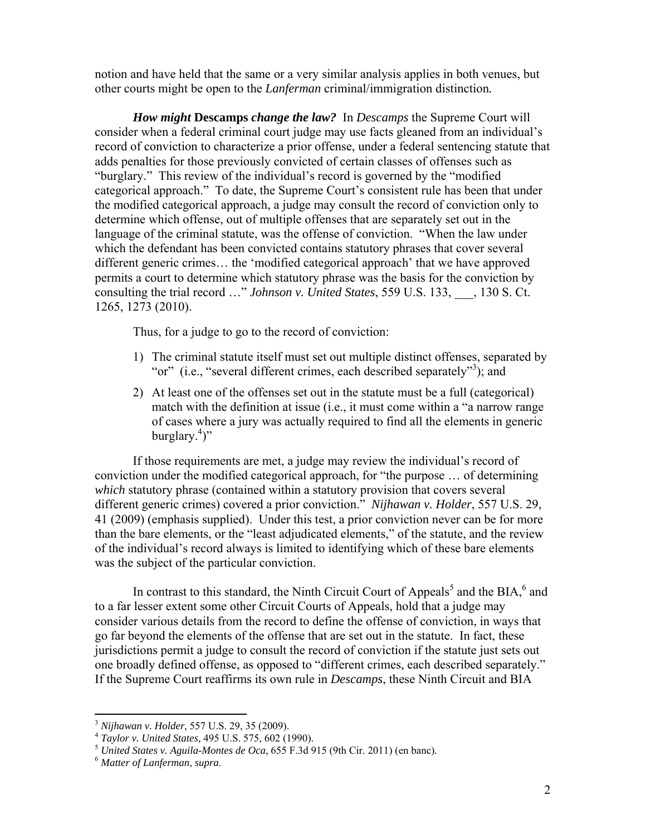notion and have held that the same or a very similar analysis applies in both venues, but other courts might be open to the *Lanferman* criminal/immigration distinction*.*

*How might* **Descamps** *change the law?* In *Descamps* the Supreme Court will consider when a federal criminal court judge may use facts gleaned from an individual's record of conviction to characterize a prior offense, under a federal sentencing statute that adds penalties for those previously convicted of certain classes of offenses such as "burglary." This review of the individual's record is governed by the "modified categorical approach." To date, the Supreme Court's consistent rule has been that under the modified categorical approach, a judge may consult the record of conviction only to determine which offense, out of multiple offenses that are separately set out in the language of the criminal statute, was the offense of conviction. "When the law under which the defendant has been convicted contains statutory phrases that cover several different generic crimes… the 'modified categorical approach' that we have approved permits a court to determine which statutory phrase was the basis for the conviction by consulting the trial record …" *Johnson v. United States*, 559 U.S. 133, \_\_\_, 130 S. Ct. 1265, 1273 (2010).

Thus, for a judge to go to the record of conviction:

- 1) The criminal statute itself must set out multiple distinct offenses, separated by "or" (i.e., "several different crimes, each described separately"<sup>3</sup>); and
- 2) At least one of the offenses set out in the statute must be a full (categorical) match with the definition at issue (i.e., it must come within a "a narrow range of cases where a jury was actually required to find all the elements in generic burglary.<sup>4</sup>)"

If those requirements are met, a judge may review the individual's record of conviction under the modified categorical approach, for "the purpose … of determining *which* statutory phrase (contained within a statutory provision that covers several different generic crimes) covered a prior conviction." *Nijhawan v. Holder*, 557 U.S. 29, 41 (2009) (emphasis supplied). Under this test, a prior conviction never can be for more than the bare elements, or the "least adjudicated elements," of the statute, and the review of the individual's record always is limited to identifying which of these bare elements was the subject of the particular conviction.

In contrast to this standard, the Ninth Circuit Court of Appeals<sup>5</sup> and the BIA, $^6$  and to a far lesser extent some other Circuit Courts of Appeals, hold that a judge may consider various details from the record to define the offense of conviction, in ways that go far beyond the elements of the offense that are set out in the statute. In fact, these jurisdictions permit a judge to consult the record of conviction if the statute just sets out one broadly defined offense, as opposed to "different crimes, each described separately." If the Supreme Court reaffirms its own rule in *Descamps*, these Ninth Circuit and BIA

<u>.</u>

<sup>&</sup>lt;sup>3</sup> Nijhawan v. Holder, 557 U.S. 29, 35 (2009).<br>
<sup>4</sup> Taylor v. United States, 495 U.S. 575, 602 (1990).<br>
<sup>5</sup> United States v. Aguila-Montes de Oca, 655 F.3d 915 (9th Cir. 2011) (en banc).<br>
<sup>6</sup> Matter of Lanferman, supra.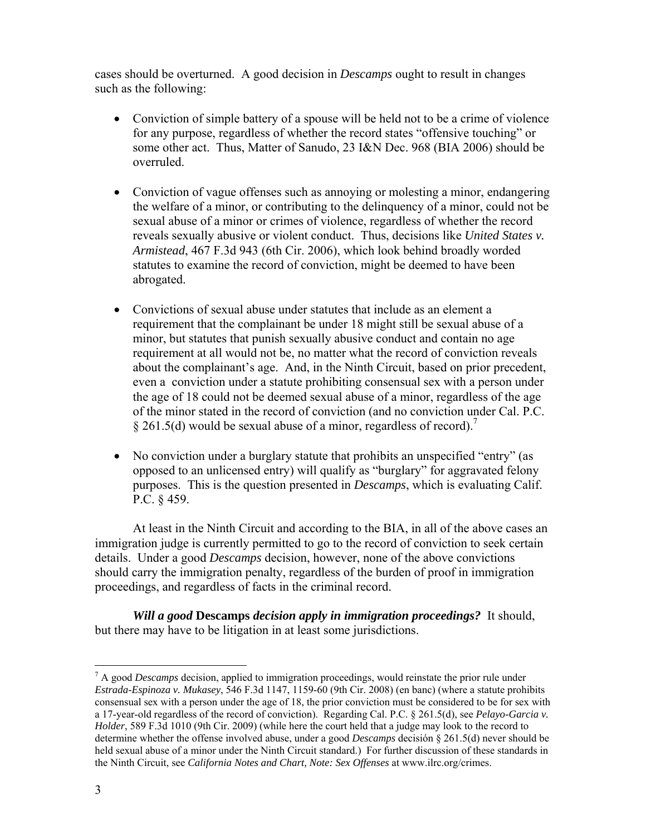cases should be overturned. A good decision in *Descamps* ought to result in changes such as the following:

- Conviction of simple battery of a spouse will be held not to be a crime of violence for any purpose, regardless of whether the record states "offensive touching" or some other act. Thus, Matter of Sanudo, 23 I&N Dec. 968 (BIA 2006) should be overruled.
- Conviction of vague offenses such as annoying or molesting a minor, endangering the welfare of a minor, or contributing to the delinquency of a minor, could not be sexual abuse of a minor or crimes of violence, regardless of whether the record reveals sexually abusive or violent conduct. Thus, decisions like *United States v. Armistead*, 467 F.3d 943 (6th Cir. 2006), which look behind broadly worded statutes to examine the record of conviction, might be deemed to have been abrogated.
- Convictions of sexual abuse under statutes that include as an element a requirement that the complainant be under 18 might still be sexual abuse of a minor, but statutes that punish sexually abusive conduct and contain no age requirement at all would not be, no matter what the record of conviction reveals about the complainant's age. And, in the Ninth Circuit, based on prior precedent, even a conviction under a statute prohibiting consensual sex with a person under the age of 18 could not be deemed sexual abuse of a minor, regardless of the age of the minor stated in the record of conviction (and no conviction under Cal. P.C. § 261.5(d) would be sexual abuse of a minor, regardless of record).<sup>7</sup>
- No conviction under a burglary statute that prohibits an unspecified "entry" (as opposed to an unlicensed entry) will qualify as "burglary" for aggravated felony purposes. This is the question presented in *Descamps*, which is evaluating Calif. P.C. § 459.

At least in the Ninth Circuit and according to the BIA, in all of the above cases an immigration judge is currently permitted to go to the record of conviction to seek certain details. Under a good *Descamps* decision, however, none of the above convictions should carry the immigration penalty, regardless of the burden of proof in immigration proceedings, and regardless of facts in the criminal record.

*Will a good* **Descamps** *decision apply in immigration proceedings?* It should, but there may have to be litigation in at least some jurisdictions.

<sup>1</sup> 7 A good *Descamps* decision, applied to immigration proceedings, would reinstate the prior rule under *Estrada-Espinoza v. Mukasey*, 546 F.3d 1147, 1159-60 (9th Cir. 2008) (en banc) (where a statute prohibits consensual sex with a person under the age of 18, the prior conviction must be considered to be for sex with a 17-year-old regardless of the record of conviction). Regarding Cal. P.C. § 261.5(d), see *Pelayo-Garcia v. Holder*, 589 F.3d 1010 (9th Cir. 2009) (while here the court held that a judge may look to the record to determine whether the offense involved abuse, under a good *Descamps* decisión § 261.5(d) never should be held sexual abuse of a minor under the Ninth Circuit standard.) For further discussion of these standards in the Ninth Circuit, see *California Notes and Chart, Note: Sex Offenses* at www.ilrc.org/crimes.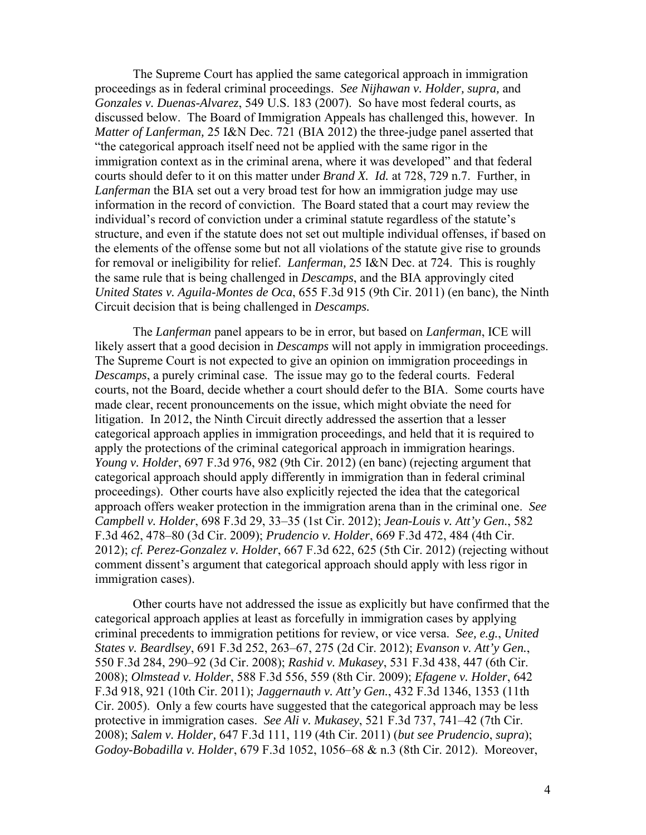The Supreme Court has applied the same categorical approach in immigration proceedings as in federal criminal proceedings. *See Nijhawan v. Holder, supra,* and *Gonzales v. Duenas-Alvarez*, 549 U.S. 183 (2007). So have most federal courts, as discussed below. The Board of Immigration Appeals has challenged this, however. In *Matter of Lanferman,* 25 I&N Dec. 721 (BIA 2012) the three-judge panel asserted that "the categorical approach itself need not be applied with the same rigor in the immigration context as in the criminal arena, where it was developed" and that federal courts should defer to it on this matter under *Brand X. Id.* at 728, 729 n.7. Further, in *Lanferman* the BIA set out a very broad test for how an immigration judge may use information in the record of conviction. The Board stated that a court may review the individual's record of conviction under a criminal statute regardless of the statute's structure, and even if the statute does not set out multiple individual offenses, if based on the elements of the offense some but not all violations of the statute give rise to grounds for removal or ineligibility for relief. *Lanferman,* 25 I&N Dec. at 724. This is roughly the same rule that is being challenged in *Descamps*, and the BIA approvingly cited *United States v. Aguila-Montes de Oca*, 655 F.3d 915 (9th Cir. 2011) (en banc)*,* the Ninth Circuit decision that is being challenged in *Descamps.*

The *Lanferman* panel appears to be in error, but based on *Lanferman*, ICE will likely assert that a good decision in *Descamps* will not apply in immigration proceedings. The Supreme Court is not expected to give an opinion on immigration proceedings in *Descamps*, a purely criminal case. The issue may go to the federal courts. Federal courts, not the Board, decide whether a court should defer to the BIA. Some courts have made clear, recent pronouncements on the issue, which might obviate the need for litigation. In 2012, the Ninth Circuit directly addressed the assertion that a lesser categorical approach applies in immigration proceedings, and held that it is required to apply the protections of the criminal categorical approach in immigration hearings. *Young v. Holder*, 697 F.3d 976, 982 (9th Cir. 2012) (en banc) (rejecting argument that categorical approach should apply differently in immigration than in federal criminal proceedings). Other courts have also explicitly rejected the idea that the categorical approach offers weaker protection in the immigration arena than in the criminal one. *See Campbell v. Holder*, 698 F.3d 29, 33–35 (1st Cir. 2012); *Jean-Louis v. Att'y Gen.*, 582 F.3d 462, 478–80 (3d Cir. 2009); *Prudencio v. Holder*, 669 F.3d 472, 484 (4th Cir. 2012); *cf. Perez-Gonzalez v. Holder*, 667 F.3d 622, 625 (5th Cir. 2012) (rejecting without comment dissent's argument that categorical approach should apply with less rigor in immigration cases).

Other courts have not addressed the issue as explicitly but have confirmed that the categorical approach applies at least as forcefully in immigration cases by applying criminal precedents to immigration petitions for review, or vice versa. *See, e.g.*, *United States v. Beardlsey*, 691 F.3d 252, 263–67, 275 (2d Cir. 2012); *Evanson v. Att'y Gen.*, 550 F.3d 284, 290–92 (3d Cir. 2008); *Rashid v. Mukasey*, 531 F.3d 438, 447 (6th Cir. 2008); *Olmstead v. Holder*, 588 F.3d 556, 559 (8th Cir. 2009); *Efagene v. Holder*, 642 F.3d 918, 921 (10th Cir. 2011); *Jaggernauth v. Att'y Gen.*, 432 F.3d 1346, 1353 (11th Cir. 2005). Only a few courts have suggested that the categorical approach may be less protective in immigration cases. *See Ali v. Mukasey*, 521 F.3d 737, 741–42 (7th Cir. 2008); *Salem v. Holder,* 647 F.3d 111, 119 (4th Cir. 2011) (*but see Prudencio*, *supra*); *Godoy-Bobadilla v. Holder*, 679 F.3d 1052, 1056–68 & n.3 (8th Cir. 2012). Moreover,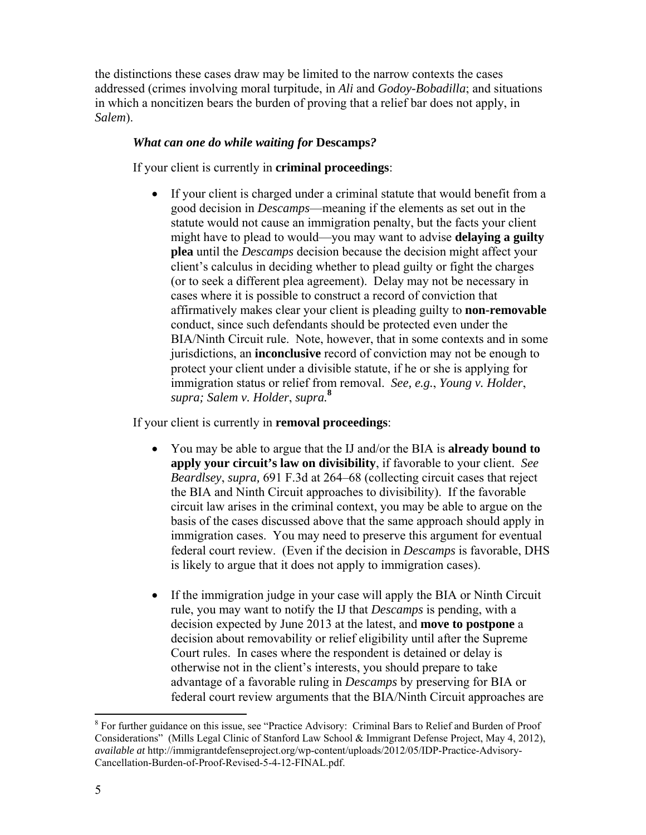the distinctions these cases draw may be limited to the narrow contexts the cases addressed (crimes involving moral turpitude, in *Ali* and *Godoy-Bobadilla*; and situations in which a noncitizen bears the burden of proving that a relief bar does not apply, in *Salem*).

## *What can one do while waiting for* **Descamps***?*

If your client is currently in **criminal proceedings**:

• If your client is charged under a criminal statute that would benefit from a good decision in *Descamps*—meaning if the elements as set out in the statute would not cause an immigration penalty, but the facts your client might have to plead to would—you may want to advise **delaying a guilty plea** until the *Descamps* decision because the decision might affect your client's calculus in deciding whether to plead guilty or fight the charges (or to seek a different plea agreement). Delay may not be necessary in cases where it is possible to construct a record of conviction that affirmatively makes clear your client is pleading guilty to **non-removable** conduct, since such defendants should be protected even under the BIA/Ninth Circuit rule. Note, however, that in some contexts and in some jurisdictions, an **inconclusive** record of conviction may not be enough to protect your client under a divisible statute, if he or she is applying for immigration status or relief from removal. *See, e.g.*, *Young v. Holder*, *supra; Salem v. Holder*, *supra.* **8**

If your client is currently in **removal proceedings**:

- You may be able to argue that the IJ and/or the BIA is **already bound to apply your circuit's law on divisibility**, if favorable to your client. *See Beardlsey, supra,* 691 F.3d at 264–68 (collecting circuit cases that reject the BIA and Ninth Circuit approaches to divisibility). If the favorable circuit law arises in the criminal context, you may be able to argue on the basis of the cases discussed above that the same approach should apply in immigration cases. You may need to preserve this argument for eventual federal court review. (Even if the decision in *Descamps* is favorable, DHS is likely to argue that it does not apply to immigration cases).
- If the immigration judge in your case will apply the BIA or Ninth Circuit rule, you may want to notify the IJ that *Descamps* is pending, with a decision expected by June 2013 at the latest, and **move to postpone** a decision about removability or relief eligibility until after the Supreme Court rules. In cases where the respondent is detained or delay is otherwise not in the client's interests, you should prepare to take advantage of a favorable ruling in *Descamps* by preserving for BIA or federal court review arguments that the BIA/Ninth Circuit approaches are

 $\overline{a}$ <sup>8</sup> For further guidance on this issue, see "Practice Advisory: Criminal Bars to Relief and Burden of Proof Considerations" (Mills Legal Clinic of Stanford Law School & Immigrant Defense Project, May 4, 2012), *available at* http://immigrantdefenseproject.org/wp-content/uploads/2012/05/IDP-Practice-Advisory-Cancellation-Burden-of-Proof-Revised-5-4-12-FINAL.pdf.